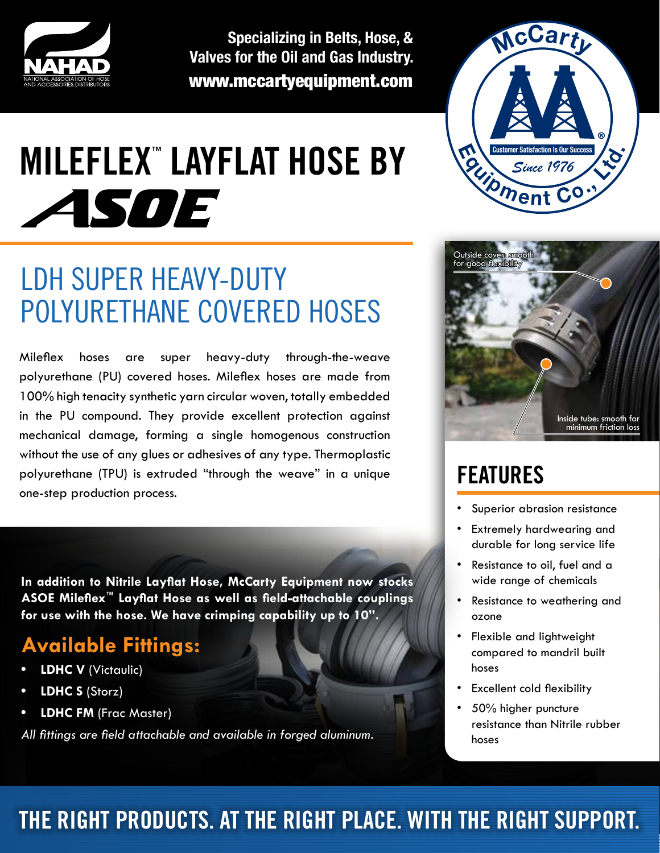

**Specializing in Belts, Hose, & Valves for the Oil and Gas Industry.** www.mccartyequipment.com

# **MILEFLEX ™ LAYFLAT HOSE BY** ASOE

# LDH SUPER HEAVY-DUTY POLYURETHANE COVERED HOSES

Mileflex hoses are super heavy-duty through-the-weave polyurethane (PU) covered hoses. Mileflex hoses are made from 100% high tenacity synthetic yarn circular woven, totally embedded in the PU compound. They provide excellent protection against mechanical damage, forming a single homogenous construction without the use of any glues or adhesives of any type. Thermoplastic polyurethane (TPU) is extruded "through the weave" in a unique one-step production process.

**In addition to Nitrile Layflat Hose, McCarty Equipment now stocks ASOE Mileflex™ Layflat Hose as well as field-attachable couplings for use with the hose. We have crimping capability up to 10".** 

#### **Available Fittings:**

- **• LDHC V** (Victaulic)
- **• LDHC S** (Storz)
- **• LDHC FM** (Frac Master)

*All fittings are field attachable and available in forged aluminum.*





# **FEATURES**

- Superior abrasion resistance
- **Extremely hardwearing and** durable for long service life
- Resistance to oil, fuel and a wide range of chemicals
- • Resistance to weathering and ozone
- Flexible and lightweight compared to mandril built hoses
- • Excellent cold flexibility
- 50% higher puncture resistance than Nitrile rubber hoses

#### **The right products. at the right place. with the right support.**